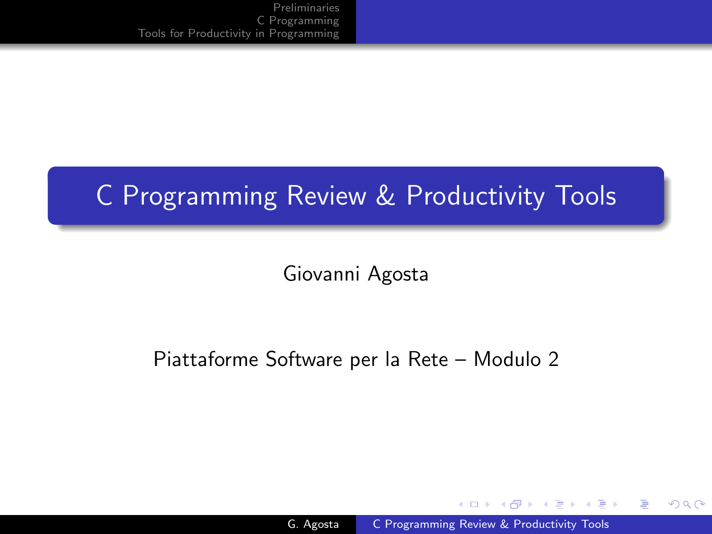# C Programming Review & Productivity Tools

Giovanni Agosta

## Piattaforme Software per la Rete – Modulo 2

and in

- ④ 伊 ≯ ④ 重 ≯ ④ 重

<span id="page-0-0"></span>つくへ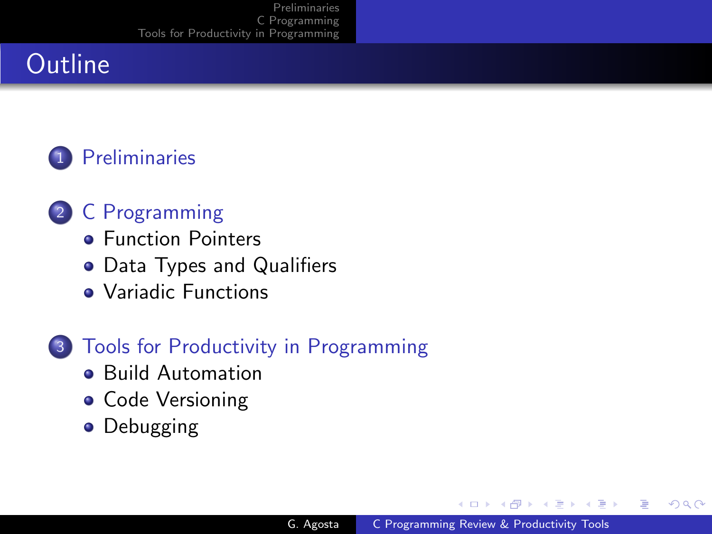# **Outline**



- 2 [C Programming](#page-4-0)
	- **[Function Pointers](#page-4-0)**
	- [Data Types and Qualifiers](#page-6-0)
	- [Variadic Functions](#page-9-0)
- 3 [Tools for Productivity in Programming](#page-10-0)
	- **[Build Automation](#page-12-0)**
	- **[Code Versioning](#page-15-0)**
	- **•** [Debugging](#page-16-0)

 $\leftarrow$ 

 $\lambda$   $\lambda$   $\lambda$ 

 $\sim$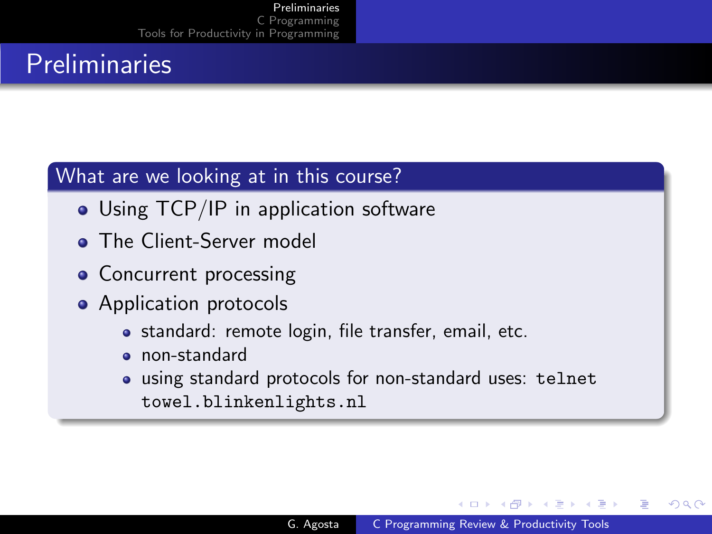# **Preliminaries**

## What are we looking at in this course?

- Using TCP/IP in application software
- **The Client-Server model**
- Concurrent processing
- Application protocols
	- standard: remote login, file transfer, email, etc.
	- o non-standard
	- using standard protocols for non-standard uses: telnet towel.blinkenlights.nl

<span id="page-2-0"></span> $\mathcal{A}$  and  $\mathcal{A}$  in the set of  $\mathcal{A}$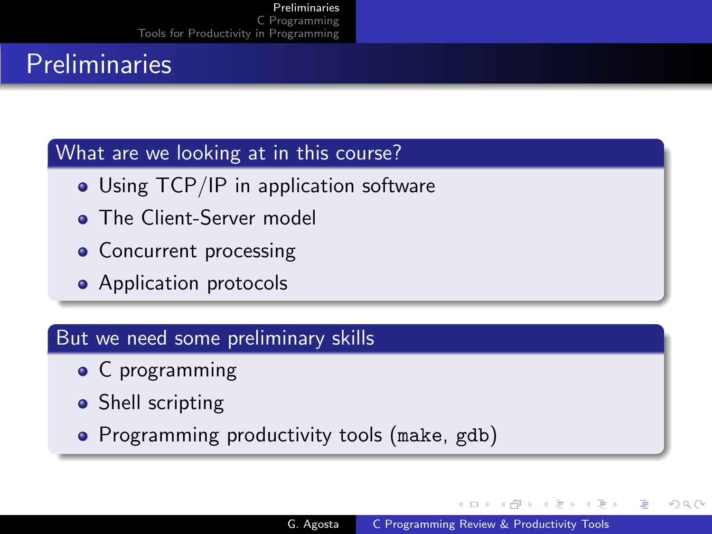# **Preliminaries**

#### What are we looking at in this course?

- Using TCP/IP in application software
- **The Client-Server model**
- Concurrent processing
- Application protocols

#### But we need some preliminary skills

- C programming
- Shell scripting
- Programming productivity tools (make, gdb)

4 17 18

- ④ 伊 ト ④ ヨ ト ④ ヨ ト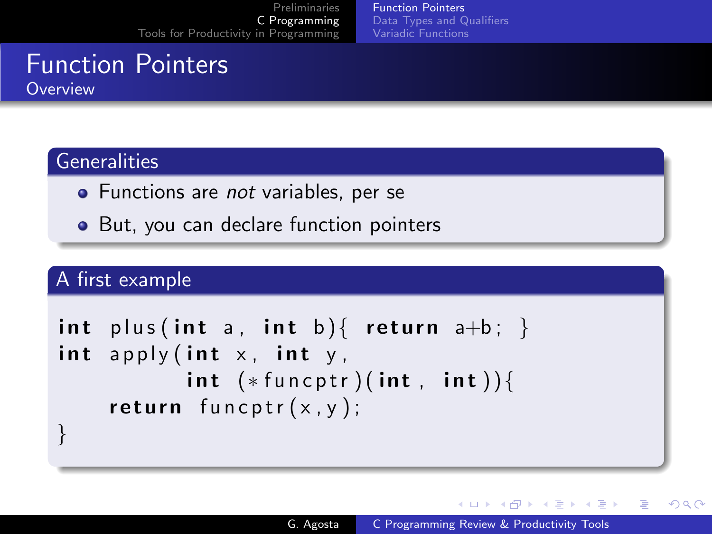[Function Pointers](#page-4-0) [Data Types and Qualifiers](#page-6-0) [Variadic Functions](#page-9-0)

# Function Pointers **Overview**

## **Generalities**

- Functions are not variables, per se
- But, you can declare function pointers

## A first example

```
int plus (int a, int b) { return a+b; }
int apply (int x, int y,
          int (*funct) (int, int)) {
    return funcptr(x, y);
}
```
<span id="page-4-0"></span>∢ロト ∢母ト ∢目ト ∢目ト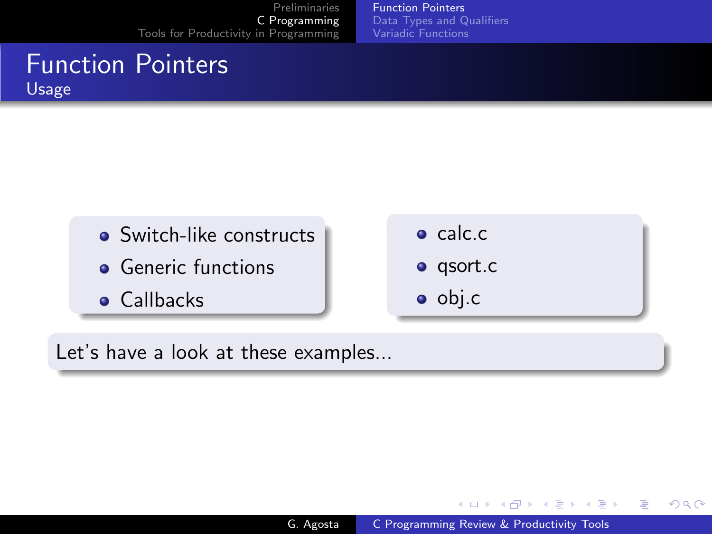[Function Pointers](#page-4-0) [Data Types and Qualifiers](#page-6-0) [Variadic Functions](#page-9-0)

# Function Pointers Usage

- **Switch-like constructs**
- **•** Generic functions
- **•** Callbacks
- **o** calc.c.
- **o** qsort.c
- o obj.c

Let's have a look at these examples...

メロメ メ母メ メミメ メミメ

つくへ

э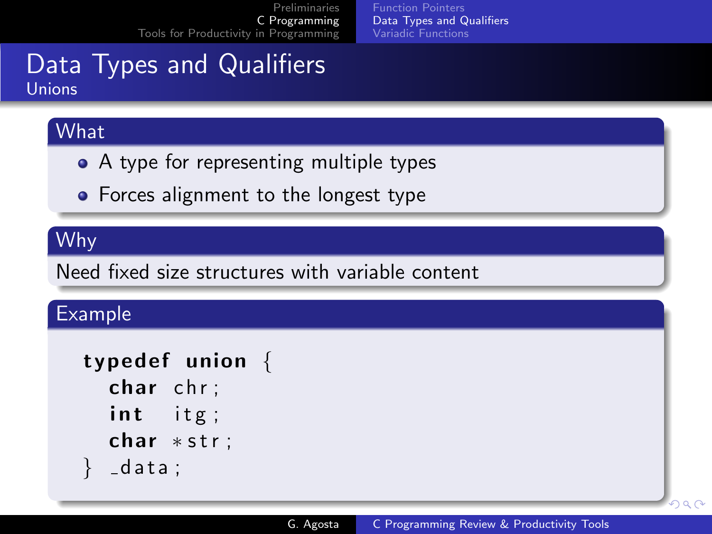<span id="page-6-0"></span>[Function Pointers](#page-4-0) [Data Types and Qualifiers](#page-6-0) [Variadic Functions](#page-9-0)

# Data Types and Qualifiers Unions

## What

- A type for representing multiple types
- Forces alignment to the longest type

## Why

Need fixed size structures with variable content

### Example

```
typedef union \{char chr;
  int itg;
  char *str;
  = d a t a \pm
```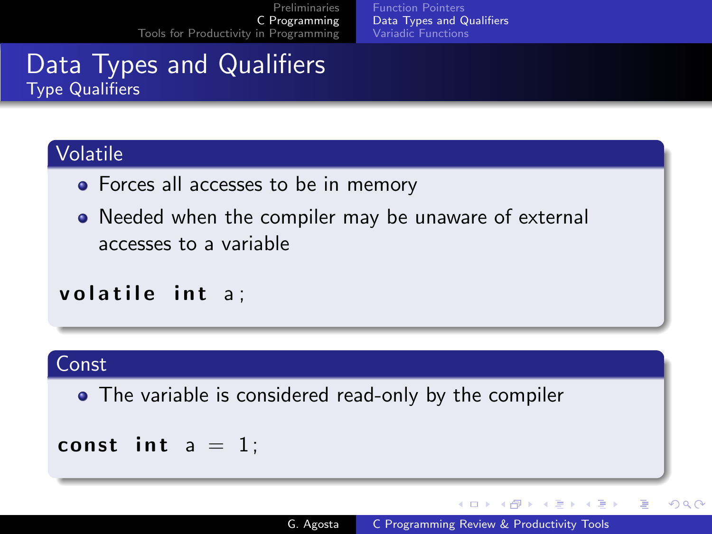[Function Pointers](#page-4-0) [Data Types and Qualifiers](#page-6-0) [Variadic Functions](#page-9-0)

# Data Types and Qualifiers Type Qualifiers

## Volatile

- Forces all accesses to be in memory
- Needed when the compiler may be unaware of external accesses to a variable

## volatile int a:

### Const

• The variable is considered read-only by the compiler

$$
const \text{ int } a = 1;
$$

∢ロト ∢母ト ∢ヨト ∢ヨト

э

 $\Omega$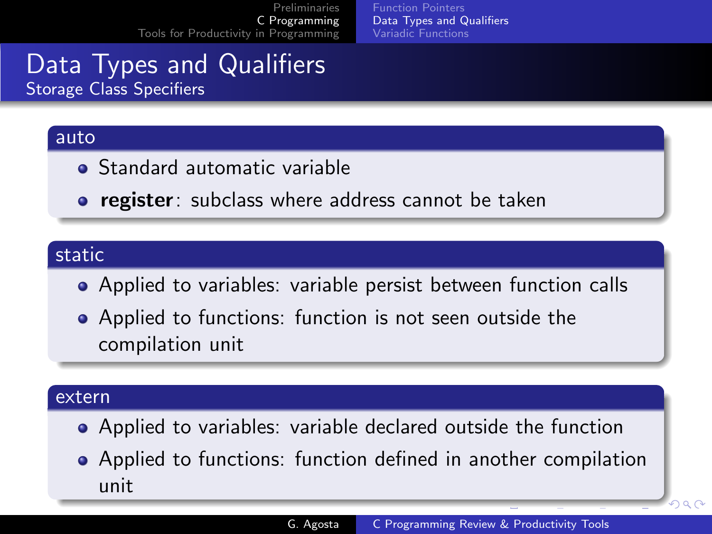[Function Pointers](#page-4-0) [Data Types and Qualifiers](#page-6-0) [Variadic Functions](#page-9-0)

# Data Types and Qualifiers Storage Class Specifiers

#### auto

- **Standard automatic variable**
- **register**: subclass where address cannot be taken

#### static

- Applied to variables: variable persist between function calls
- Applied to functions: function is not seen outside the compilation unit

#### extern

- Applied to variables: variable declared outside the function
- Applied to functions: function defined in another compilation unit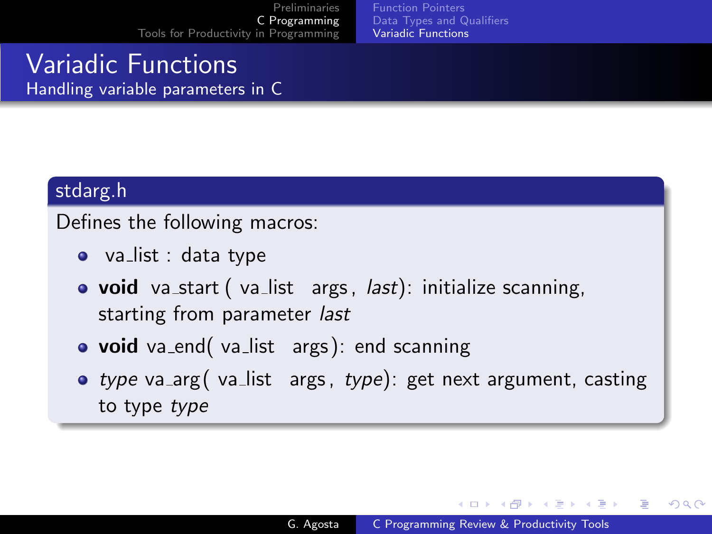[Function Pointers](#page-4-0) [Data Types and Qualifiers](#page-6-0) [Variadic Functions](#page-9-0)

## Variadic Functions Handling variable parameters in C

#### stdarg.h

Defines the following macros:

- va $\mathsf{list} : \mathsf{data}$  type
- void va\_start (va\_list args, last): initialize scanning, starting from parameter last
- void va\_end( va\_list args): end scanning
- type va\_arg( va\_list args, type): get next argument, casting to type type

<span id="page-9-0"></span>イロト イ母 トイヨ トイヨ トー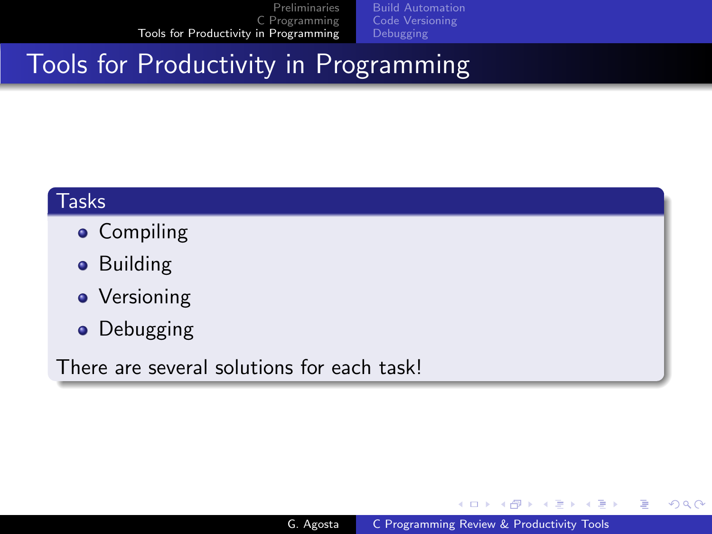[Build Automation](#page-12-0) [Code Versioning](#page-15-0)

# Tools for Productivity in Programming

#### Tasks

- Compiling
- **•** Building
- Versioning
- Debugging

There are several solutions for each task!

メロメ メ母メ メミメ メミメ

э

<span id="page-10-0"></span>つくへ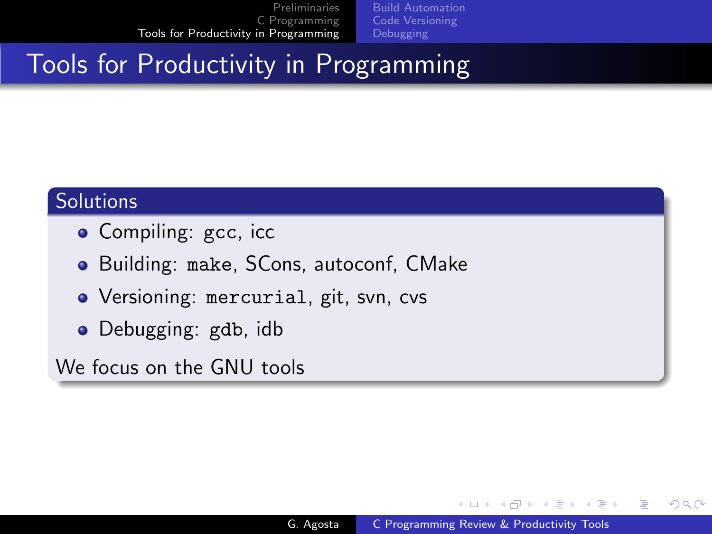[Build Automation](#page-12-0)

# Tools for Productivity in Programming

## **Solutions**

- Compiling: gcc, icc
- Building: make, SCons, autoconf, CMake
- Versioning: mercurial, git, svn, cvs
- Debugging: gdb, idb

We focus on the GNU tools

メロメ メ母メ メミメ メミメ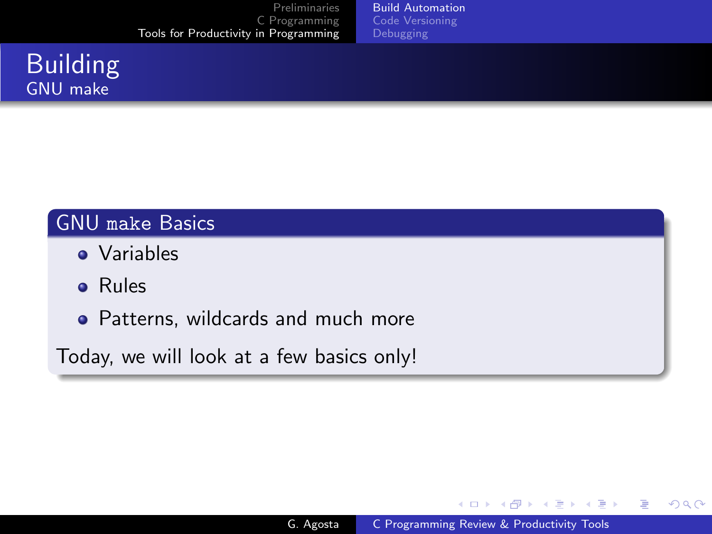[Build Automation](#page-12-0) [Code Versioning](#page-15-0)

# Building GNU make

# GNU make Basics

- **•** Variables
- Rules
- Patterns, wildcards and much more

Today, we will look at a few basics only!

イロン イ何ン イヨン イヨン

 $299$ 

<span id="page-12-0"></span>э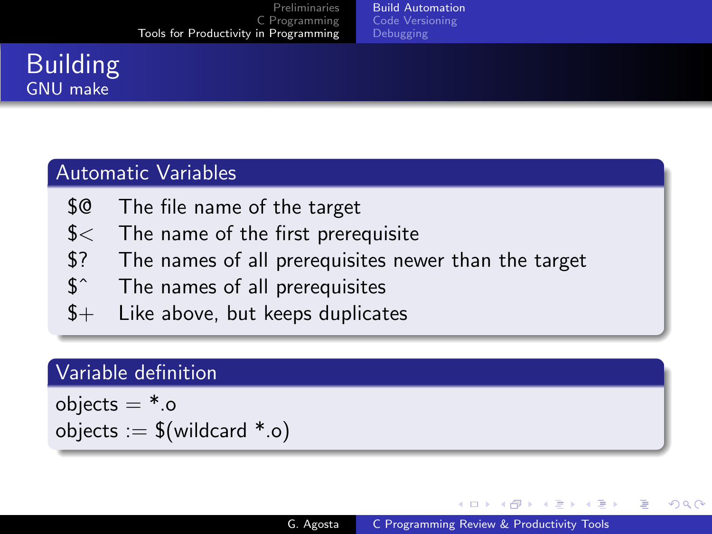[Build Automation](#page-12-0)

# Building GNU make

### Automatic Variables

- \$@ The file name of the target
- \$< The name of the first prerequisite
- \$? The names of all prerequisites newer than the target
- \$ˆ The names of all prerequisites
- $$+$  Like above, but keeps duplicates

#### Variable definition

objects  $=$   $*$ .o objects  $:=$  \$(wildcard  $*$ .o)

∢ ロ ▶ ( 伊 ) ( ミ ) ( ミ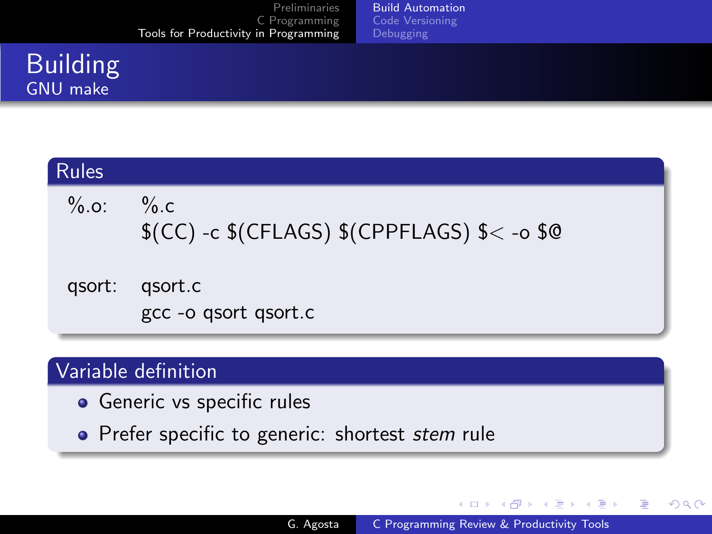[Build Automation](#page-12-0) [Code Versioning](#page-15-0)

# **Building** GNU make

| Rules <sup>'</sup> |                                                     |
|--------------------|-----------------------------------------------------|
| % .0.              | $\%$ .c<br>$$(CC) -c$(CFLAGS)$(CPPFLAGS)$ {< -0 \\$ |
| qsort:             | gsort.c<br>gcc -o qsort qsort.c                     |

## Variable definition

- **•** Generic vs specific rules
- Prefer specific to generic: shortest stem rule

メロメ メ母メ メミメ メミメ

つくへ

э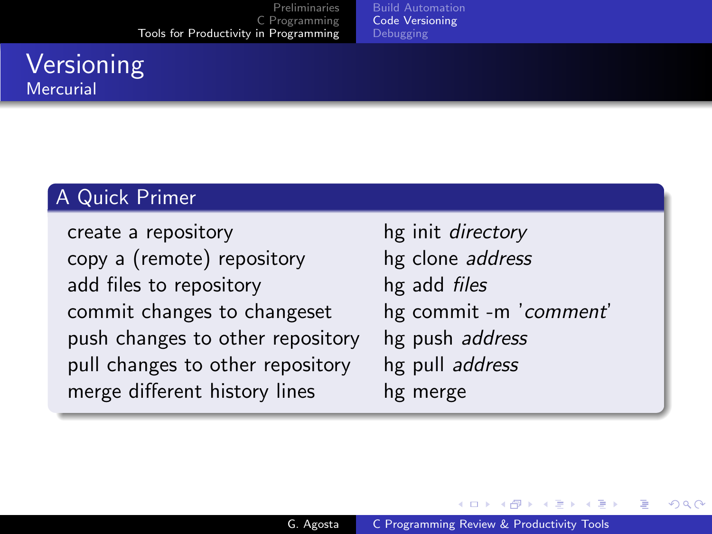[Build Automation](#page-12-0) [Code Versioning](#page-15-0)

# **Versioning Mercurial**

## A Quick Primer

create a repository hg init *directory* copy a (remote) repository hg clone address add files to repository hg add *files* commit changes to changeset hg commit -m 'comment' push changes to other repository hg push address pull changes to other repository hg pull address merge different history lines hg merge

<span id="page-15-0"></span>メロメ メ母メ メミメ メミメ